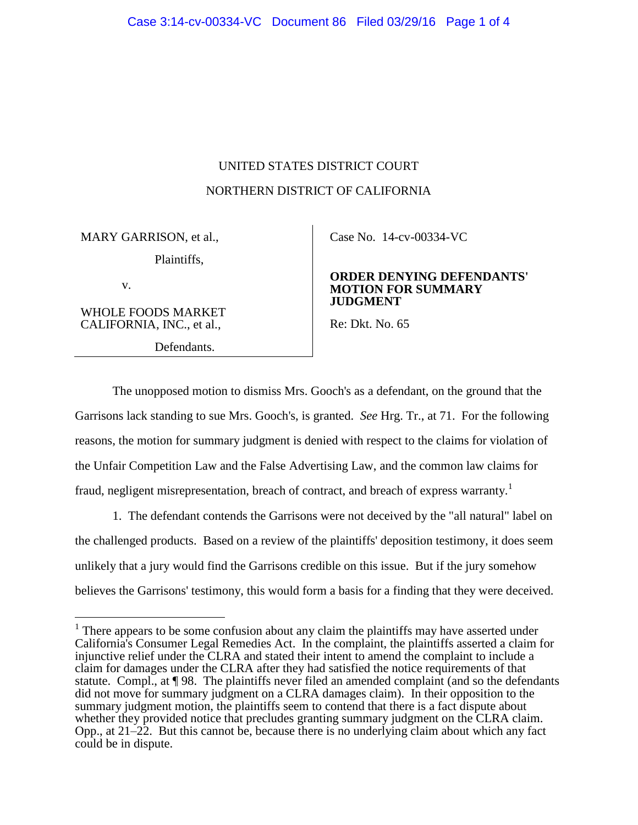# UNITED STATES DISTRICT COURT NORTHERN DISTRICT OF CALIFORNIA

MARY GARRISON, et al.,

Plaintiffs,

v.

 $\overline{a}$ 

WHOLE FOODS MARKET CALIFORNIA, INC., et al.,

Defendants.

Case No. [14-cv-00334-VC](https://ecf.cand.uscourts.gov/cgi-bin/DktRpt.pl?273859) 

### **ORDER DENYING DEFENDANTS' MOTION FOR SUMMARY JUDGMENT**

Re: Dkt. No. 65

The unopposed motion to dismiss Mrs. Gooch's as a defendant, on the ground that the Garrisons lack standing to sue Mrs. Gooch's, is granted. *See* Hrg. Tr., at 71. For the following reasons, the motion for summary judgment is denied with respect to the claims for violation of the Unfair Competition Law and the False Advertising Law, and the common law claims for fraud, negligent misrepresentation, breach of contract, and breach of express warranty.<sup>1</sup>

1. The defendant contends the Garrisons were not deceived by the "all natural" label on the challenged products. Based on a review of the plaintiffs' deposition testimony, it does seem unlikely that a jury would find the Garrisons credible on this issue. But if the jury somehow believes the Garrisons' testimony, this would form a basis for a finding that they were deceived.

 $1$  There appears to be some confusion about any claim the plaintiffs may have asserted under California's Consumer Legal Remedies Act. In the complaint, the plaintiffs asserted a claim for injunctive relief under the CLRA and stated their intent to amend the complaint to include a claim for damages under the CLRA after they had satisfied the notice requirements of that statute. Compl., at  $\P$  98. The plaintiffs never filed an amended complaint (and so the defendants did not move for summary judgment on a CLRA damages claim). In their opposition to the summary judgment motion, the plaintiffs seem to contend that there is a fact dispute about whether they provided notice that precludes granting summary judgment on the CLRA claim. Opp., at 21–22. But this cannot be, because there is no underlying claim about which any fact could be in dispute.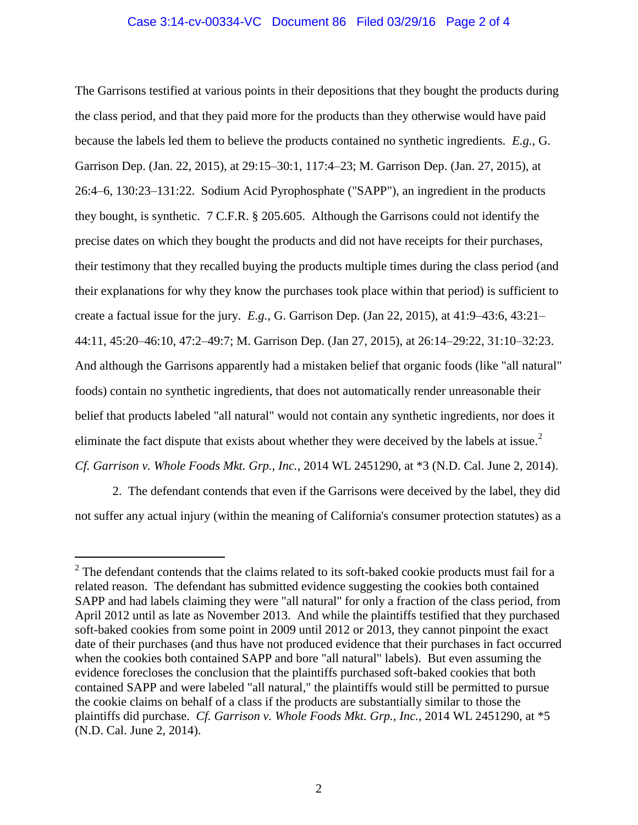# Case 3:14-cv-00334-VC Document 86 Filed 03/29/16 Page 2 of 4

The Garrisons testified at various points in their depositions that they bought the products during the class period, and that they paid more for the products than they otherwise would have paid because the labels led them to believe the products contained no synthetic ingredients. *E.g.*, G. Garrison Dep. (Jan. 22, 2015), at 29:15–30:1, 117:4–23; M. Garrison Dep. (Jan. 27, 2015), at 26:4–6, 130:23–131:22. Sodium Acid Pyrophosphate ("SAPP"), an ingredient in the products they bought, is synthetic. 7 C.F.R. § 205.605. Although the Garrisons could not identify the precise dates on which they bought the products and did not have receipts for their purchases, their testimony that they recalled buying the products multiple times during the class period (and their explanations for why they know the purchases took place within that period) is sufficient to create a factual issue for the jury. *E.g.*, G. Garrison Dep. (Jan 22, 2015), at 41:9–43:6, 43:21– 44:11, 45:20–46:10, 47:2–49:7; M. Garrison Dep. (Jan 27, 2015), at 26:14–29:22, 31:10–32:23. And although the Garrisons apparently had a mistaken belief that organic foods (like "all natural" foods) contain no synthetic ingredients, that does not automatically render unreasonable their belief that products labeled "all natural" would not contain any synthetic ingredients, nor does it eliminate the fact dispute that exists about whether they were deceived by the labels at issue.<sup>2</sup> *Cf. Garrison v. Whole Foods Mkt. Grp., Inc.*, 2014 WL 2451290, at \*3 (N.D. Cal. June 2, 2014).

2. The defendant contends that even if the Garrisons were deceived by the label, they did not suffer any actual injury (within the meaning of California's consumer protection statutes) as a

 $\overline{a}$ 

 $2$  The defendant contends that the claims related to its soft-baked cookie products must fail for a related reason. The defendant has submitted evidence suggesting the cookies both contained SAPP and had labels claiming they were "all natural" for only a fraction of the class period, from April 2012 until as late as November 2013. And while the plaintiffs testified that they purchased soft-baked cookies from some point in 2009 until 2012 or 2013, they cannot pinpoint the exact date of their purchases (and thus have not produced evidence that their purchases in fact occurred when the cookies both contained SAPP and bore "all natural" labels). But even assuming the evidence forecloses the conclusion that the plaintiffs purchased soft-baked cookies that both contained SAPP and were labeled "all natural," the plaintiffs would still be permitted to pursue the cookie claims on behalf of a class if the products are substantially similar to those the plaintiffs did purchase. *Cf. Garrison v. Whole Foods Mkt. Grp., Inc.*, 2014 WL 2451290, at \*5 (N.D. Cal. June 2, 2014).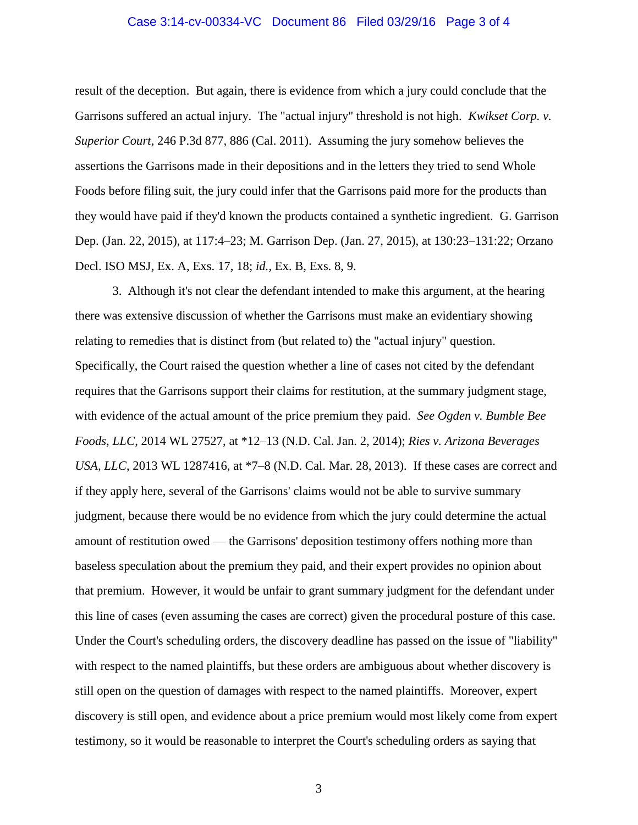#### Case 3:14-cv-00334-VC Document 86 Filed 03/29/16 Page 3 of 4

result of the deception. But again, there is evidence from which a jury could conclude that the Garrisons suffered an actual injury. The "actual injury" threshold is not high. *Kwikset Corp. v. Superior Court*, 246 P.3d 877, 886 (Cal. 2011). Assuming the jury somehow believes the assertions the Garrisons made in their depositions and in the letters they tried to send Whole Foods before filing suit, the jury could infer that the Garrisons paid more for the products than they would have paid if they'd known the products contained a synthetic ingredient. G. Garrison Dep. (Jan. 22, 2015), at 117:4–23; M. Garrison Dep. (Jan. 27, 2015), at 130:23–131:22; Orzano Decl. ISO MSJ, Ex. A, Exs. 17, 18; *id.*, Ex. B, Exs. 8, 9.

3. Although it's not clear the defendant intended to make this argument, at the hearing there was extensive discussion of whether the Garrisons must make an evidentiary showing relating to remedies that is distinct from (but related to) the "actual injury" question. Specifically, the Court raised the question whether a line of cases not cited by the defendant requires that the Garrisons support their claims for restitution, at the summary judgment stage, with evidence of the actual amount of the price premium they paid. *See Ogden v. Bumble Bee Foods, LLC*, 2014 WL 27527, at \*12–13 (N.D. Cal. Jan. 2, 2014); *Ries v. Arizona Beverages USA, LLC*, 2013 WL 1287416, at \*7–8 (N.D. Cal. Mar. 28, 2013). If these cases are correct and if they apply here, several of the Garrisons' claims would not be able to survive summary judgment, because there would be no evidence from which the jury could determine the actual amount of restitution owed — the Garrisons' deposition testimony offers nothing more than baseless speculation about the premium they paid, and their expert provides no opinion about that premium. However, it would be unfair to grant summary judgment for the defendant under this line of cases (even assuming the cases are correct) given the procedural posture of this case. Under the Court's scheduling orders, the discovery deadline has passed on the issue of "liability" with respect to the named plaintiffs, but these orders are ambiguous about whether discovery is still open on the question of damages with respect to the named plaintiffs. Moreover, expert discovery is still open, and evidence about a price premium would most likely come from expert testimony, so it would be reasonable to interpret the Court's scheduling orders as saying that

3